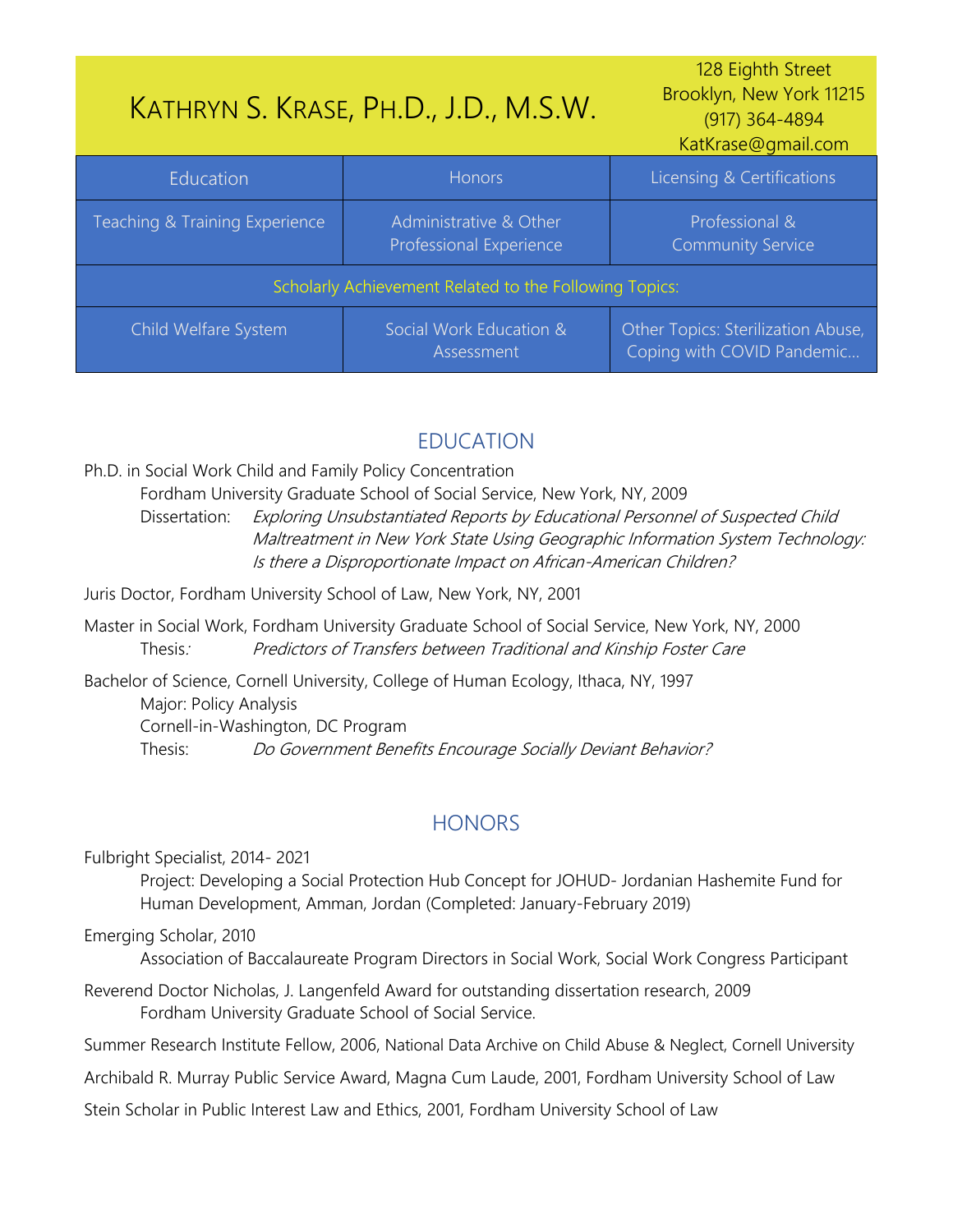<span id="page-0-1"></span>

| KATHRYN S. KRASE, PH.D., J.D., M.S.W.                  |                                                   | 128 Eighth Street<br>Brooklyn, New York 11215<br>(917) 364-4894<br>KatKrase@gmail.com |
|--------------------------------------------------------|---------------------------------------------------|---------------------------------------------------------------------------------------|
| Education                                              | <b>Honors</b>                                     | Licensing & Certifications                                                            |
| Teaching & Training Experience                         | Administrative & Other<br>Professional Experience | Professional &<br><b>Community Service</b>                                            |
| Scholarly Achievement Related to the Following Topics: |                                                   |                                                                                       |
| Child Welfare System                                   | Social Work Education &<br>Assessment             | Other Topics: Sterilization Abuse,<br>Coping with COVID Pandemic                      |

# EDUCATION

Ph.D. in Social Work Child and Family Policy Concentration

Fordham University Graduate School of Social Service, New York, NY, 2009

Dissertation: Exploring Unsubstantiated Reports by Educational Personnel of Suspected Child Maltreatment in New York State Using Geographic Information System Technology: Is there a Disproportionate Impact on African-American Children?

Juris Doctor, Fordham University School of Law, New York, NY, 2001

Master in Social Work, Fordham University Graduate School of Social Service, New York, NY, 2000 Thesis: Predictors of Transfers between Traditional and Kinship Foster Care

Bachelor of Science, Cornell University, College of Human Ecology, Ithaca, NY, 1997 Major: Policy Analysis Cornell-in-Washington, DC Program Thesis: Do Government Benefits Encourage Socially Deviant Behavior?

# **HONORS**

<span id="page-0-0"></span>Fulbright Specialist, 2014- 2021

Project: Developing a Social Protection Hub Concept for JOHUD- Jordanian Hashemite Fund for Human Development, Amman, Jordan (Completed: January-February 2019)

Emerging Scholar, 2010

Association of Baccalaureate Program Directors in Social Work, Social Work Congress Participant

Reverend Doctor Nicholas, J. Langenfeld Award for outstanding dissertation research, 2009 Fordham University Graduate School of Social Service.

Summer Research Institute Fellow, 2006, National Data Archive on Child Abuse & Neglect, Cornell University

Archibald R. Murray Public Service Award, Magna Cum Laude, 2001, Fordham University School of Law

Stein Scholar in Public Interest Law and Ethics, 2001, Fordham University School of Law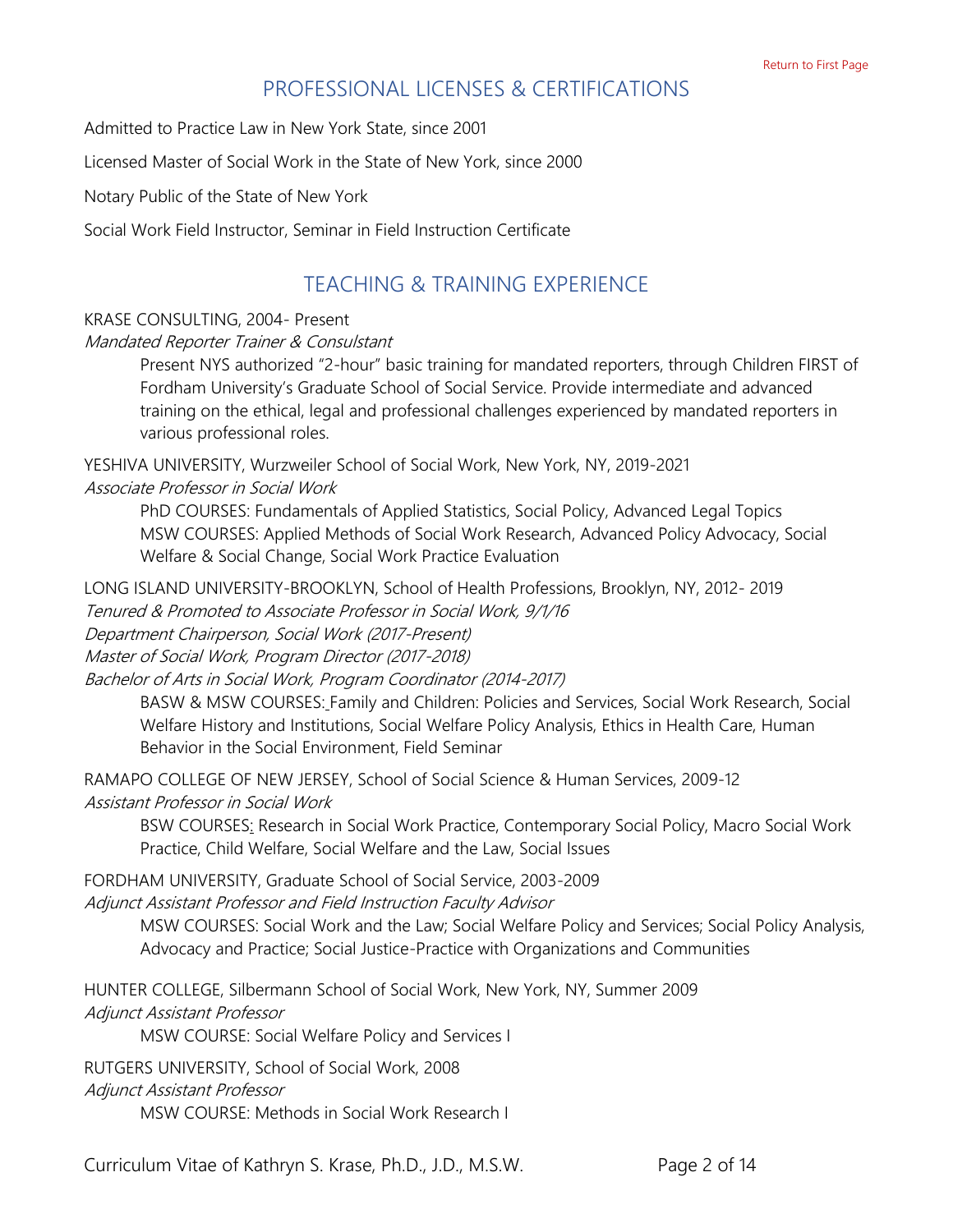# PROFESSIONAL LICENSES & CERTIFICATIONS

<span id="page-1-0"></span>Admitted to Practice Law in New York State, since 2001

Licensed Master of Social Work in the State of New York, since 2000

Notary Public of the State of New York

<span id="page-1-1"></span>Social Work Field Instructor, Seminar in Field Instruction Certificate

## TEACHING & TRAINING EXPERIENCE

#### KRASE CONSULTING, 2004- Present

Mandated Reporter Trainer & Consulstant

Present NYS authorized "2-hour" basic training for mandated reporters, through Children FIRST of Fordham University's Graduate School of Social Service. Provide intermediate and advanced training on the ethical, legal and professional challenges experienced by mandated reporters in various professional roles.

YESHIVA UNIVERSITY, Wurzweiler School of Social Work, New York, NY, 2019-2021 Associate Professor in Social Work

PhD COURSES: Fundamentals of Applied Statistics, Social Policy, Advanced Legal Topics MSW COURSES: Applied Methods of Social Work Research, Advanced Policy Advocacy, Social Welfare & Social Change, Social Work Practice Evaluation

LONG ISLAND UNIVERSITY-BROOKLYN, School of Health Professions, Brooklyn, NY, 2012- 2019 Tenured & Promoted to Associate Professor in Social Work, 9/1/16 Department Chairperson, Social Work (2017-Present) Master of Social Work, Program Director (2017-2018)

Bachelor of Arts in Social Work, Program Coordinator (2014-2017)

BASW & MSW COURSES: Family and Children: Policies and Services, Social Work Research, Social Welfare History and Institutions, Social Welfare Policy Analysis, Ethics in Health Care, Human Behavior in the Social Environment, Field Seminar

RAMAPO COLLEGE OF NEW JERSEY, School of Social Science & Human Services, 2009-12 Assistant Professor in Social Work

BSW COURSES: Research in Social Work Practice, Contemporary Social Policy, Macro Social Work Practice, Child Welfare, Social Welfare and the Law, Social Issues

FORDHAM UNIVERSITY, Graduate School of Social Service, 2003-2009

Adjunct Assistant Professor and Field Instruction Faculty Advisor

MSW COURSES: Social Work and the Law; Social Welfare Policy and Services; Social Policy Analysis, Advocacy and Practice; Social Justice-Practice with Organizations and Communities

HUNTER COLLEGE, Silbermann School of Social Work, New York, NY, Summer 2009 Adjunct Assistant Professor

MSW COURSE: Social Welfare Policy and Services I

RUTGERS UNIVERSITY, School of Social Work, 2008

Adjunct Assistant Professor

<span id="page-1-2"></span>MSW COURSE: Methods in Social Work Research I

Curriculum Vitae of Kathryn S. Krase, Ph.D., J.D., M.S.W. Page 2 of 14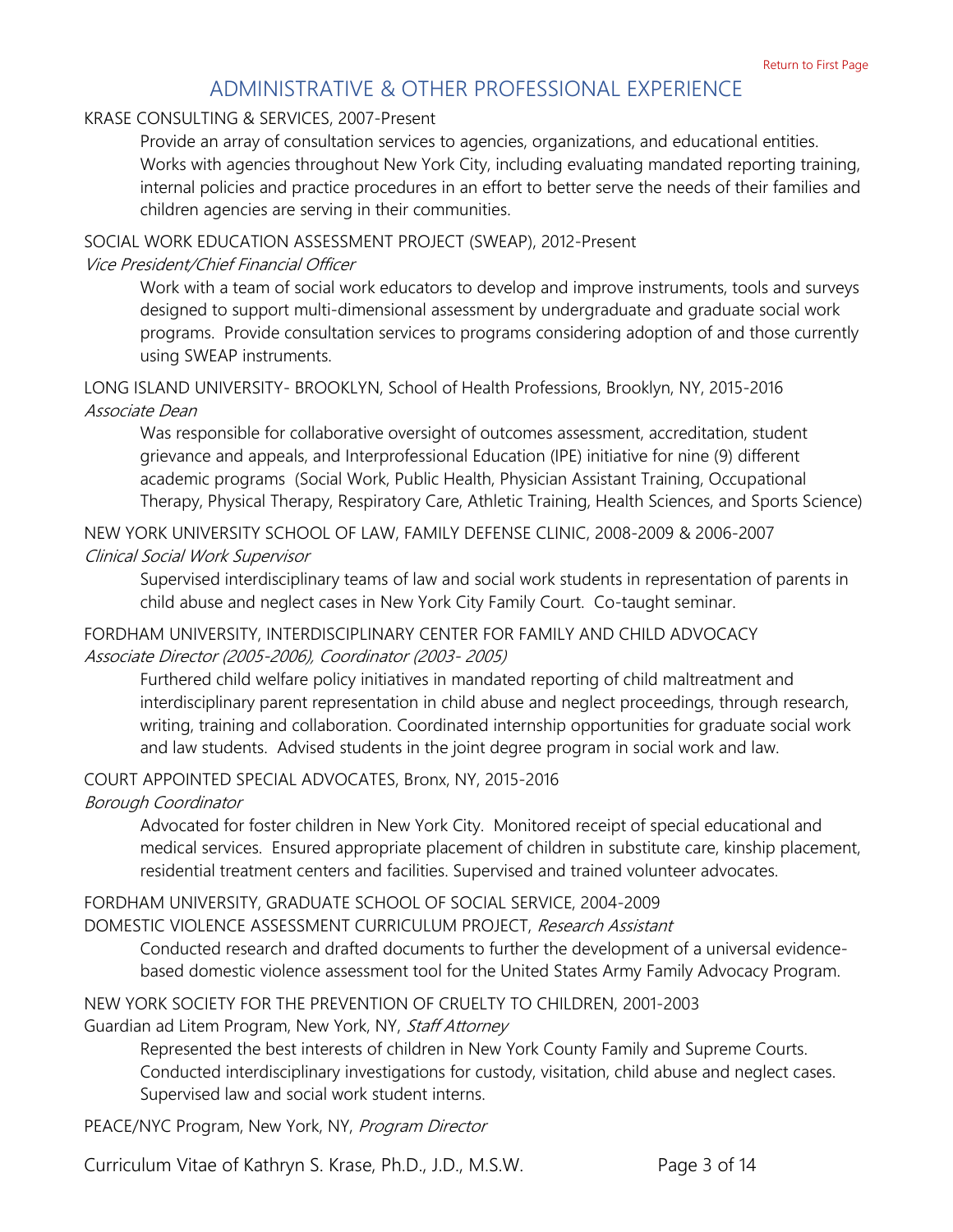# ADMINISTRATIVE & OTHER PROFESSIONAL EXPERIENCE

#### KRASE CONSULTING & SERVICES, 2007-Present

Provide an array of consultation services to agencies, organizations, and educational entities. Works with agencies throughout New York City, including evaluating mandated reporting training, internal policies and practice procedures in an effort to better serve the needs of their families and children agencies are serving in their communities.

#### SOCIAL WORK EDUCATION ASSESSMENT PROJECT (SWEAP), 2012-Present

#### Vice President/Chief Financial Officer

Work with a team of social work educators to develop and improve instruments, tools and surveys designed to support multi-dimensional assessment by undergraduate and graduate social work programs. Provide consultation services to programs considering adoption of and those currently using SWEAP instruments.

### LONG ISLAND UNIVERSITY- BROOKLYN, School of Health Professions, Brooklyn, NY, 2015-2016 Associate Dean

Was responsible for collaborative oversight of outcomes assessment, accreditation, student grievance and appeals, and Interprofessional Education (IPE) initiative for nine (9) different academic programs (Social Work, Public Health, Physician Assistant Training, Occupational Therapy, Physical Therapy, Respiratory Care, Athletic Training, Health Sciences, and Sports Science)

NEW YORK UNIVERSITY SCHOOL OF LAW, FAMILY DEFENSE CLINIC, 2008-2009 & 2006-2007 Clinical Social Work Supervisor

Supervised interdisciplinary teams of law and social work students in representation of parents in child abuse and neglect cases in New York City Family Court. Co-taught seminar.

### FORDHAM UNIVERSITY, INTERDISCIPLINARY CENTER FOR FAMILY AND CHILD ADVOCACY Associate Director (2005-2006), Coordinator (2003- 2005)

Furthered child welfare policy initiatives in mandated reporting of child maltreatment and interdisciplinary parent representation in child abuse and neglect proceedings, through research, writing, training and collaboration. Coordinated internship opportunities for graduate social work and law students. Advised students in the joint degree program in social work and law.

### COURT APPOINTED SPECIAL ADVOCATES, Bronx, NY, 2015-2016

#### Borough Coordinator

Advocated for foster children in New York City. Monitored receipt of special educational and medical services. Ensured appropriate placement of children in substitute care, kinship placement, residential treatment centers and facilities. Supervised and trained volunteer advocates.

#### FORDHAM UNIVERSITY, GRADUATE SCHOOL OF SOCIAL SERVICE, 2004-2009

#### DOMESTIC VIOLENCE ASSESSMENT CURRICULUM PROJECT, Research Assistant

Conducted research and drafted documents to further the development of a universal evidencebased domestic violence assessment tool for the United States Army Family Advocacy Program.

### NEW YORK SOCIETY FOR THE PREVENTION OF CRUELTY TO CHILDREN, 2001-2003

### Guardian ad Litem Program, New York, NY, Staff Attorney

Represented the best interests of children in New York County Family and Supreme Courts. Conducted interdisciplinary investigations for custody, visitation, child abuse and neglect cases. Supervised law and social work student interns.

PEACE/NYC Program, New York, NY, Program Director

Curriculum Vitae of Kathryn S. Krase, Ph.D., J.D., M.S.W. Page 3 of 14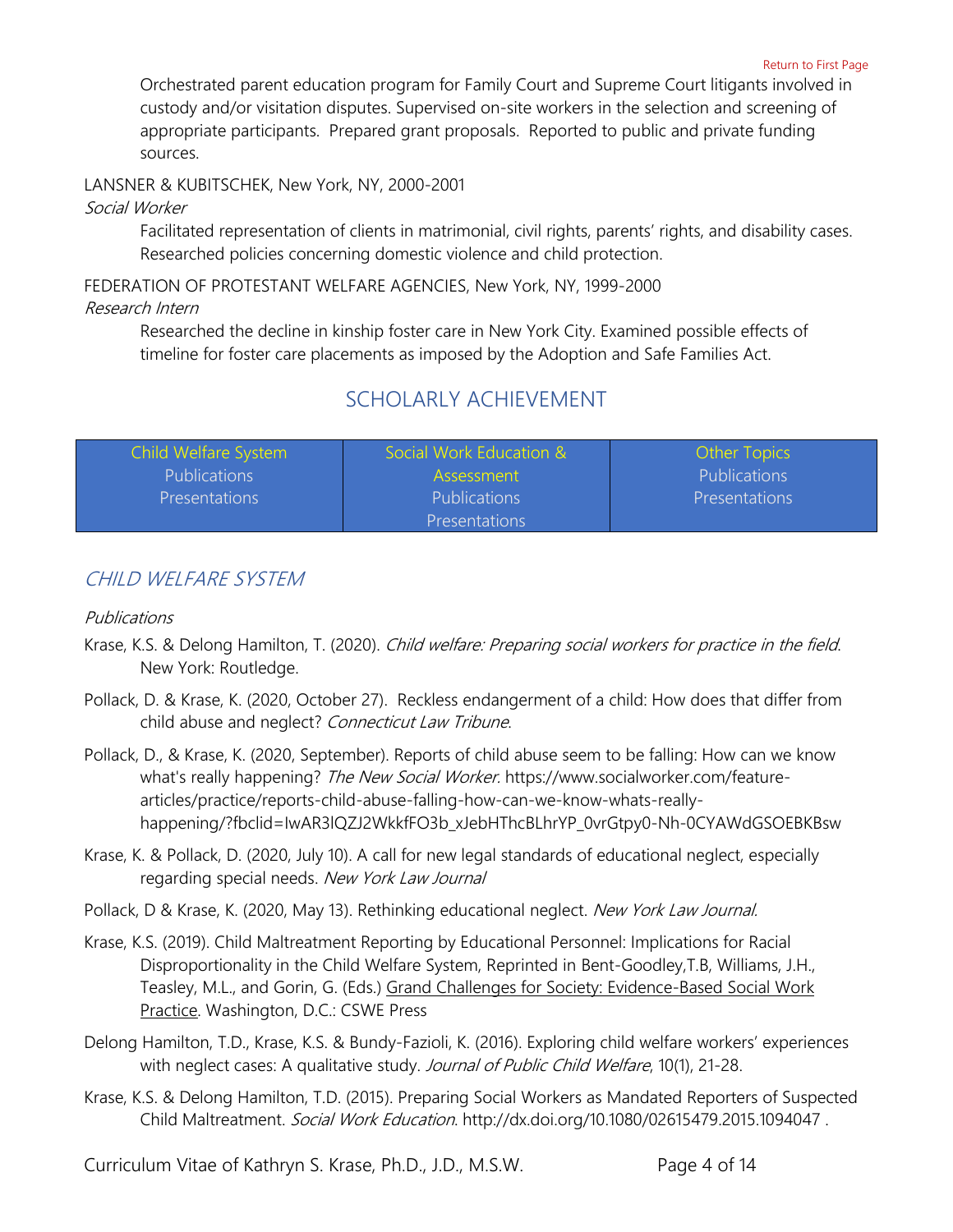Orchestrated parent education program for Family Court and Supreme Court litigants involved in custody and/or visitation disputes. Supervised on-site workers in the selection and screening of appropriate participants. Prepared grant proposals. Reported to public and private funding sources.

LANSNER & KUBITSCHEK, New York, NY, 2000-2001

#### Social Worker

Facilitated representation of clients in matrimonial, civil rights, parents' rights, and disability cases. Researched policies concerning domestic violence and child protection.

FEDERATION OF PROTESTANT WELFARE AGENCIES, New York, NY, 1999-2000

#### <span id="page-3-0"></span>Research Intern

Researched the decline in kinship foster care in New York City. Examined possible effects of timeline for foster care placements as imposed by the Adoption and Safe Families Act.

# SCHOLARLY ACHIEVEMENT

| Child Welfare System | Social Work Education & | <b>Other Topics</b>  |
|----------------------|-------------------------|----------------------|
| <b>Publications</b>  | <b>Assessment</b>       | <b>Publications</b>  |
| <b>Presentations</b> | <b>Publications</b>     | <b>Presentations</b> |
|                      | <b>Presentations</b>    |                      |

## <span id="page-3-1"></span>CHILD WELFARE SYSTEM

#### <span id="page-3-2"></span>Publications

- Krase, K.S. & Delong Hamilton, T. (2020). *Child welfare: Preparing social workers for practice in the field.* New York: Routledge.
- Pollack, D. & Krase, K. (2020, October 27). Reckless endangerment of a child: How does that differ from child abuse and neglect? Connecticut Law Tribune.
- Pollack, D., & Krase, K. (2020, September). Reports of child abuse seem to be falling: How can we know what's really happening? The New Social Worker. [https://www.socialworker.com/feature](https://www.socialworker.com/feature-articles/practice/reports-child-abuse-falling-how-can-we-know-whats-really-happening/?fbclid=IwAR3lQZJ2WkkfFO3b_xJebHThcBLhrYP_0vrGtpy0-Nh-0CYAWdGSOEBKBsw)[articles/practice/reports-child-abuse-falling-how-can-we-know-whats-really](https://www.socialworker.com/feature-articles/practice/reports-child-abuse-falling-how-can-we-know-whats-really-happening/?fbclid=IwAR3lQZJ2WkkfFO3b_xJebHThcBLhrYP_0vrGtpy0-Nh-0CYAWdGSOEBKBsw)[happening/?fbclid=IwAR3lQZJ2WkkfFO3b\\_xJebHThcBLhrYP\\_0vrGtpy0-Nh-0CYAWdGSOEBKBsw](https://www.socialworker.com/feature-articles/practice/reports-child-abuse-falling-how-can-we-know-whats-really-happening/?fbclid=IwAR3lQZJ2WkkfFO3b_xJebHThcBLhrYP_0vrGtpy0-Nh-0CYAWdGSOEBKBsw)
- Krase, K. & Pollack, D. (2020, July 10). A call for new legal standards of educational neglect, especially regarding special needs. New York Law Journal
- Pollack, D & Krase, K. (2020, May 13). Rethinking educational neglect. New York Law Journal.
- Krase, K.S. (2019). Child Maltreatment Reporting by Educational Personnel: Implications for Racial Disproportionality in the Child Welfare System, Reprinted in Bent-Goodley,T.B, Williams, J.H., Teasley, M.L., and Gorin, G. (Eds.) Grand Challenges for Society: Evidence-Based Social Work Practice. Washington, D.C.: CSWE Press
- Delong Hamilton, T.D., Krase, K.S. & Bundy-Fazioli, K. (2016). Exploring child welfare workers' experiences with neglect cases: A qualitative study. Journal of Public Child Welfare, 10(1), 21-28.
- Krase, K.S. & Delong Hamilton, T.D. (2015). Preparing Social Workers as Mandated Reporters of Suspected Child Maltreatment. Social Work Education. <http://dx.doi.org/10.1080/02615479.2015.1094047>.

Curriculum Vitae of Kathryn S. Krase, Ph.D., J.D., M.S.W. Page 4 of 14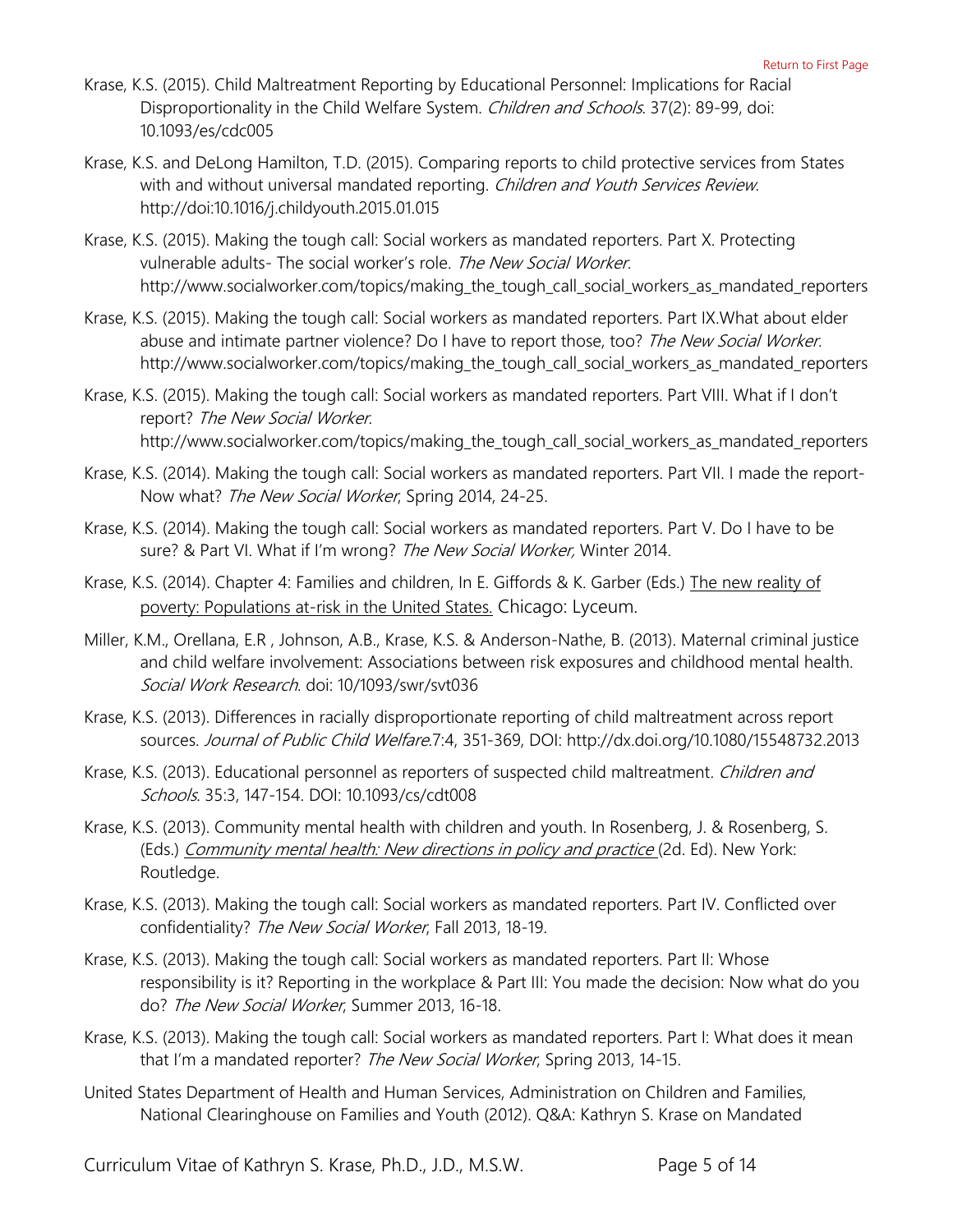- Krase, K.S. (2015). Child Maltreatment Reporting by Educational Personnel: Implications for Racial Disproportionality in the Child Welfare System. Children and Schools. 37(2): 89-99, doi: 10.1093/es/cdc005
- Krase, K.S. and DeLong Hamilton, T.D. (2015). Comparing reports to child protective services from States with and without universal mandated reporting. Children and Youth Services Review. http:/[/doi:10.1016/j.childyouth.2015.01.015](http://dx.doi.org/10.1016/j.childyouth.2015.01.015)
- Krase, K.S. (2015). Making the tough call: Social workers as mandated reporters. Part X. Protecting vulnerable adults- The social worker's role. The New Social Worker. [http://www.socialworker.com/topics/making\\_the\\_tough\\_call\\_social\\_workers\\_as\\_mandated\\_reporters](http://www.socialworker.com/topics/making_the_tough_call_social_workers_as_mandated_reporters/)
- Krase, K.S. (2015). Making the tough call: Social workers as mandated reporters. Part IX.What about elder abuse and intimate partner violence? Do I have to report those, too? The New Social Worker. [http://www.socialworker.com/topics/making\\_the\\_tough\\_call\\_social\\_workers\\_as\\_mandated\\_reporters](http://www.socialworker.com/topics/making_the_tough_call_social_workers_as_mandated_reporters/)
- Krase, K.S. (2015). Making the tough call: Social workers as mandated reporters. Part VIII. What if I don't report? The New Social Worker. [http://www.socialworker.com/topics/making\\_the\\_tough\\_call\\_social\\_workers\\_as\\_mandated\\_reporters](http://www.socialworker.com/topics/making_the_tough_call_social_workers_as_mandated_reporters/)
- Krase, K.S. (2014). Making the tough call: Social workers as mandated reporters. Part VII. I made the report-Now what? The New Social Worker, Spring 2014, 24-25.
- Krase, K.S. (2014). Making the tough call: Social workers as mandated reporters. Part V. Do I have to be sure? & Part VI. What if I'm wrong? The New Social Worker, Winter 2014.
- Krase, K.S. (2014). Chapter 4: Families and children, In E. Giffords & K. Garber (Eds.) The new reality of poverty: Populations at-risk in the United States. Chicago: Lyceum.
- Miller, K.M., Orellana, E.R , Johnson, A.B., Krase, K.S. & Anderson-Nathe, B. (2013). Maternal criminal justice and child welfare involvement: Associations between risk exposures and childhood mental health. Social Work Research. doi: 10/1093/swr/svt036
- Krase, K.S. (2013). Differences in racially disproportionate reporting of child maltreatment across report sources. Journal of Public Child Welfare.7:4, 351-369, DOI: <http://dx.doi.org/10.1080/15548732.2013>
- Krase, K.S. (2013). Educational personnel as reporters of suspected child maltreatment. Children and Schools. 35:3, 147-154. DOI: 10.1093/cs/cdt008
- Krase, K.S. (2013). Community mental health with children and youth. In Rosenberg, J. & Rosenberg, S. (Eds.) Community mental health: New directions in policy and practice (2d. Ed). New York: Routledge.
- Krase, K.S. (2013). Making the tough call: Social workers as mandated reporters. Part IV. Conflicted over confidentiality? The New Social Worker, Fall 2013, 18-19.
- Krase, K.S. (2013). Making the tough call: Social workers as mandated reporters. Part II: Whose responsibility is it? Reporting in the workplace & Part III: You made the decision: Now what do you do? The New Social Worker, Summer 2013, 16-18.
- Krase, K.S. (2013). Making the tough call: Social workers as mandated reporters. Part I: What does it mean that I'm a mandated reporter? The New Social Worker, Spring 2013, 14-15.
- United States Department of Health and Human Services, Administration on Children and Families, National Clearinghouse on Families and Youth (2012). Q&A: Kathryn S. Krase on Mandated

Curriculum Vitae of Kathryn S. Krase, Ph.D., J.D., M.S.W. Page 5 of 14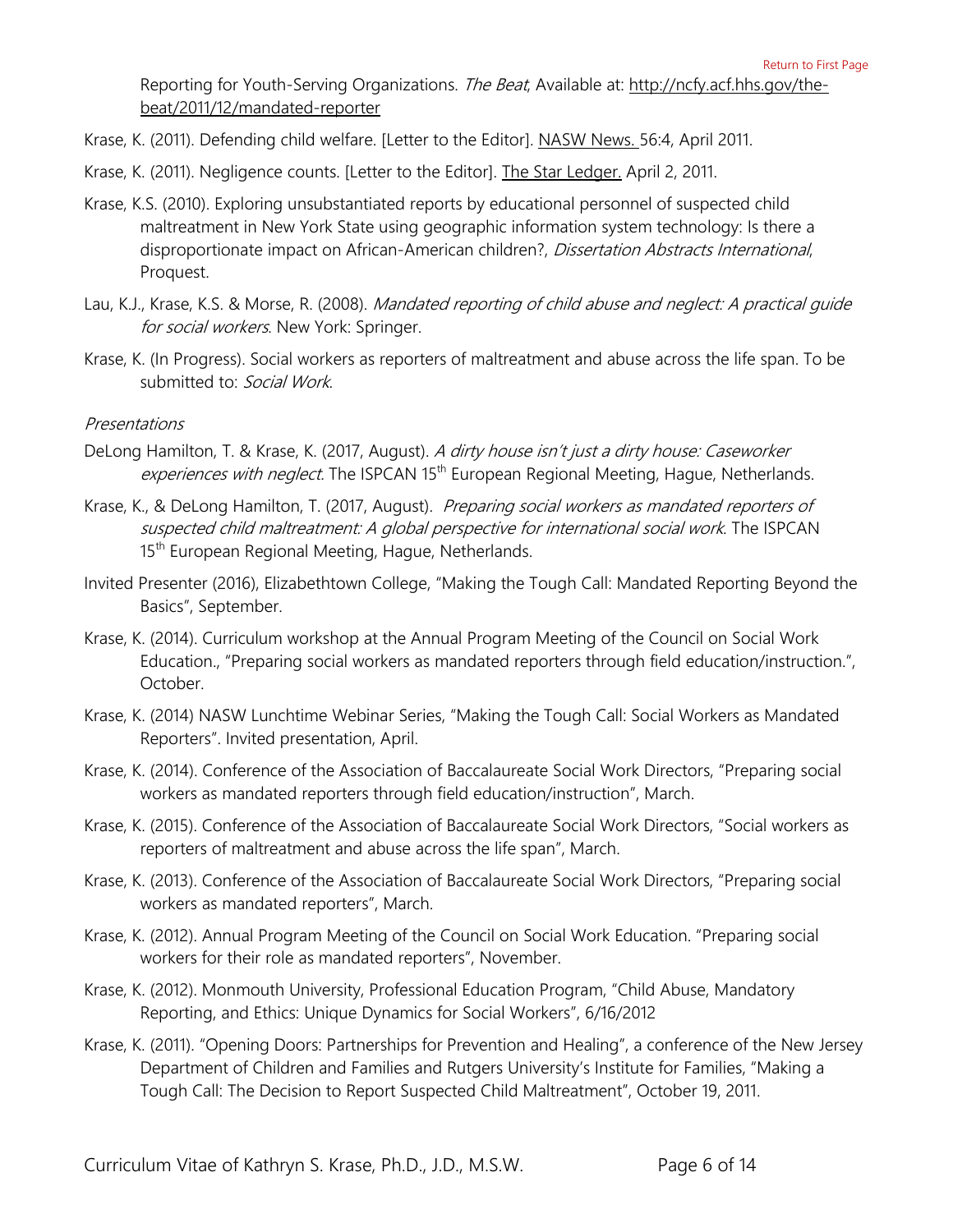Reporting for Youth-Serving Organizations. The Beat, Available at: http://ncfy.acf.hhs.gov/thebeat/2011/12/mandated-reporter

- Krase, K. (2011). Defending child welfare. [Letter to the Editor]. NASW News. 56:4, April 2011.
- Krase, K. (2011). Negligence counts. [Letter to the Editor]. The Star Ledger. April 2, 2011.
- Krase, K.S. (2010). Exploring unsubstantiated reports by educational personnel of suspected child maltreatment in New York State using geographic information system technology: Is there a disproportionate impact on African-American children?, Dissertation Abstracts International, Proquest.
- Lau, K.J., Krase, K.S. & Morse, R. (2008). Mandated reporting of child abuse and neglect: A practical quide for social workers. New York: Springer.
- Krase, K. (In Progress). Social workers as reporters of maltreatment and abuse across the life span. To be submitted to: Social Work.

#### <span id="page-5-0"></span>Presentations

- DeLong Hamilton, T. & Krase, K. (2017, August). A dirty house isn't just a dirty house: Caseworker experiences with neglect. The ISPCAN 15<sup>th</sup> European Regional Meeting, Hague, Netherlands.
- Krase, K., & DeLong Hamilton, T. (2017, August). Preparing social workers as mandated reporters of suspected child maltreatment: A global perspective for international social work. The ISPCAN 15<sup>th</sup> European Regional Meeting, Hague, Netherlands.
- Invited Presenter (2016), Elizabethtown College, "Making the Tough Call: Mandated Reporting Beyond the Basics", September.
- Krase, K. (2014). Curriculum workshop at the Annual Program Meeting of the Council on Social Work Education., "Preparing social workers as mandated reporters through field education/instruction.", October.
- Krase, K. (2014) NASW Lunchtime Webinar Series, "Making the Tough Call: Social Workers as Mandated Reporters". Invited presentation, April.
- Krase, K. (2014). Conference of the Association of Baccalaureate Social Work Directors, "Preparing social workers as mandated reporters through field education/instruction", March.
- Krase, K. (2015). Conference of the Association of Baccalaureate Social Work Directors, "Social workers as reporters of maltreatment and abuse across the life span", March.
- Krase, K. (2013). Conference of the Association of Baccalaureate Social Work Directors, "Preparing social workers as mandated reporters", March.
- Krase, K. (2012). Annual Program Meeting of the Council on Social Work Education. "Preparing social workers for their role as mandated reporters", November.
- Krase, K. (2012). Monmouth University, Professional Education Program, "Child Abuse, Mandatory Reporting, and Ethics: Unique Dynamics for Social Workers", 6/16/2012
- Krase, K. (2011). "Opening Doors: Partnerships for Prevention and Healing", a conference of the New Jersey Department of Children and Families and Rutgers University's Institute for Families, "Making a Tough Call: The Decision to Report Suspected Child Maltreatment", October 19, 2011.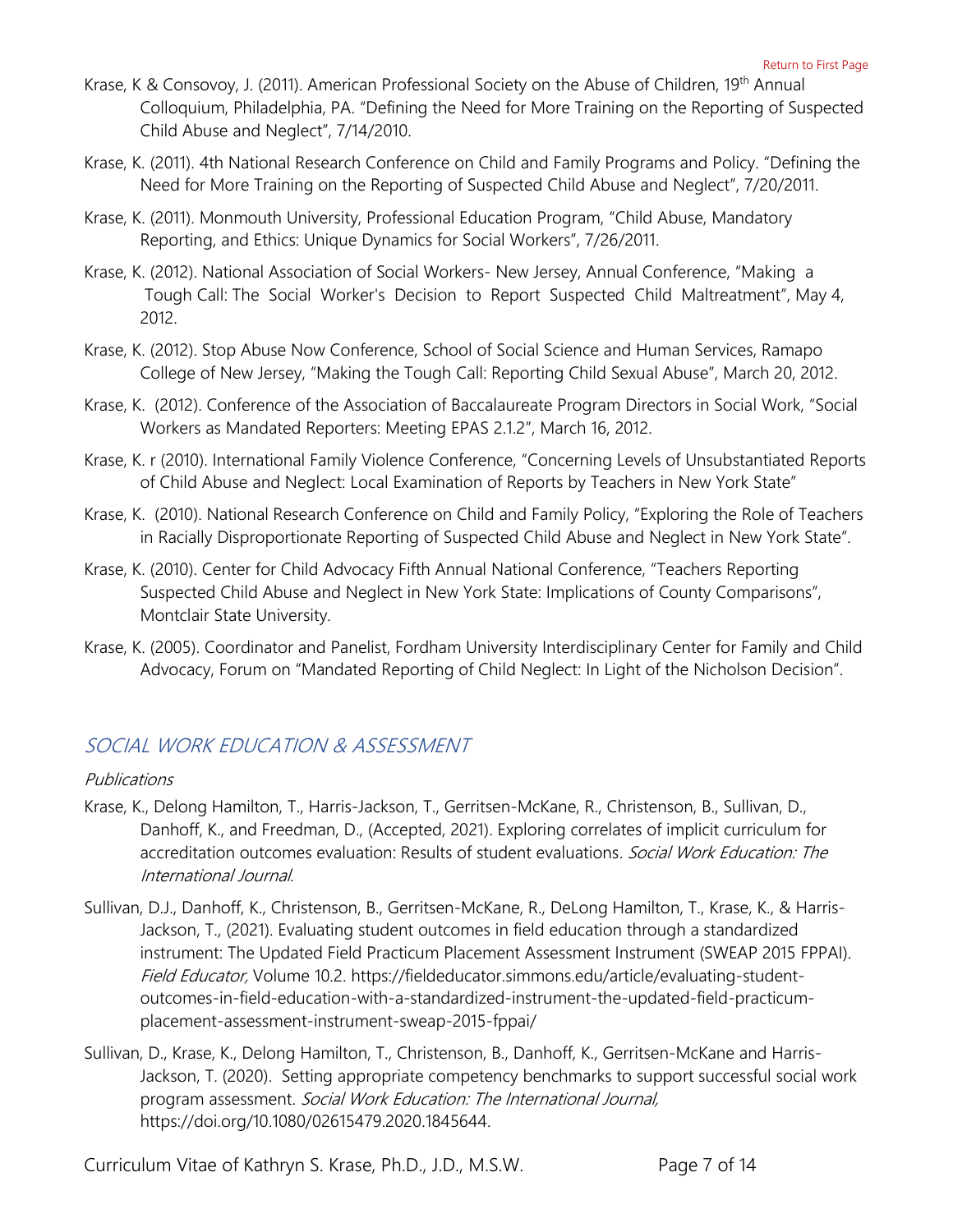- Krase, K & Consovoy, J. (2011). American Professional Society on the Abuse of Children, 19<sup>th</sup> Annual Colloquium, Philadelphia, PA. "Defining the Need for More Training on the Reporting of Suspected Child Abuse and Neglect", 7/14/2010.
- Krase, K. (2011). 4th National Research Conference on Child and Family Programs and Policy. "Defining the Need for More Training on the Reporting of Suspected Child Abuse and Neglect", 7/20/2011.
- Krase, K. (2011). Monmouth University, Professional Education Program, "Child Abuse, Mandatory Reporting, and Ethics: Unique Dynamics for Social Workers", 7/26/2011.
- Krase, K. (2012). National Association of Social Workers- New Jersey, Annual Conference, "Making a Tough Call: The Social Worker's Decision to Report Suspected Child Maltreatment", May 4, 2012.
- Krase, K. (2012). Stop Abuse Now Conference, School of Social Science and Human Services, Ramapo College of New Jersey, "Making the Tough Call: Reporting Child Sexual Abuse", March 20, 2012.
- Krase, K. (2012). Conference of the Association of Baccalaureate Program Directors in Social Work, "Social Workers as Mandated Reporters: Meeting EPAS 2.1.2", March 16, 2012.
- Krase, K. r (2010). International Family Violence Conference, "Concerning Levels of Unsubstantiated Reports of Child Abuse and Neglect: Local Examination of Reports by Teachers in New York State"
- Krase, K. (2010). National Research Conference on Child and Family Policy, "Exploring the Role of Teachers in Racially Disproportionate Reporting of Suspected Child Abuse and Neglect in New York State".
- Krase, K. (2010). Center for Child Advocacy Fifth Annual National Conference, "Teachers Reporting Suspected Child Abuse and Neglect in New York State: Implications of County Comparisons", Montclair State University.
- Krase, K. (2005). Coordinator and Panelist, Fordham University Interdisciplinary Center for Family and Child Advocacy, Forum on "Mandated Reporting of Child Neglect: In Light of the Nicholson Decision".

## <span id="page-6-0"></span>SOCIAL WORK EDUCATION & ASSESSMENT

### <span id="page-6-1"></span>Publications

- Krase, K., Delong Hamilton, T., Harris-Jackson, T., Gerritsen-McKane, R., Christenson, B., Sullivan, D., Danhoff, K., and Freedman, D., (Accepted, 2021). Exploring correlates of implicit curriculum for accreditation outcomes evaluation: Results of student evaluations. Social Work Education: The International Journal.
- Sullivan, D.J., Danhoff, K., Christenson, B., Gerritsen-McKane, R., DeLong Hamilton, T., Krase, K., & Harris-Jackson, T., (2021). Evaluating student outcomes in field education through a standardized instrument: The Updated Field Practicum Placement Assessment Instrument (SWEAP 2015 FPPAI). Field Educator, Volume 10.2. [https://fieldeducator.simmons.edu/article/evaluating-student](https://fieldeducator.simmons.edu/article/evaluating-student-outcomes-in-field-education-with-a-standardized-instrument-the-updated-field-practicum-placement-assessment-instrument-sweap-2015-fppai/)[outcomes-in-field-education-with-a-standardized-instrument-the-updated-field-practicum](https://fieldeducator.simmons.edu/article/evaluating-student-outcomes-in-field-education-with-a-standardized-instrument-the-updated-field-practicum-placement-assessment-instrument-sweap-2015-fppai/)[placement-assessment-instrument-sweap-2015-fppai/](https://fieldeducator.simmons.edu/article/evaluating-student-outcomes-in-field-education-with-a-standardized-instrument-the-updated-field-practicum-placement-assessment-instrument-sweap-2015-fppai/)
- Sullivan, D., Krase, K., Delong Hamilton, T., Christenson, B., Danhoff, K., Gerritsen-McKane and Harris-Jackson, T. (2020). Setting appropriate competency benchmarks to support successful social work program assessment. Social Work Education: The International Journal, [https://doi.org/10.1080/02615479.2020.1845644.](https://doi.org/10.1080/02615479.2020.1845644)

Curriculum Vitae of Kathryn S. Krase, Ph.D., J.D., M.S.W. Page 7 of 14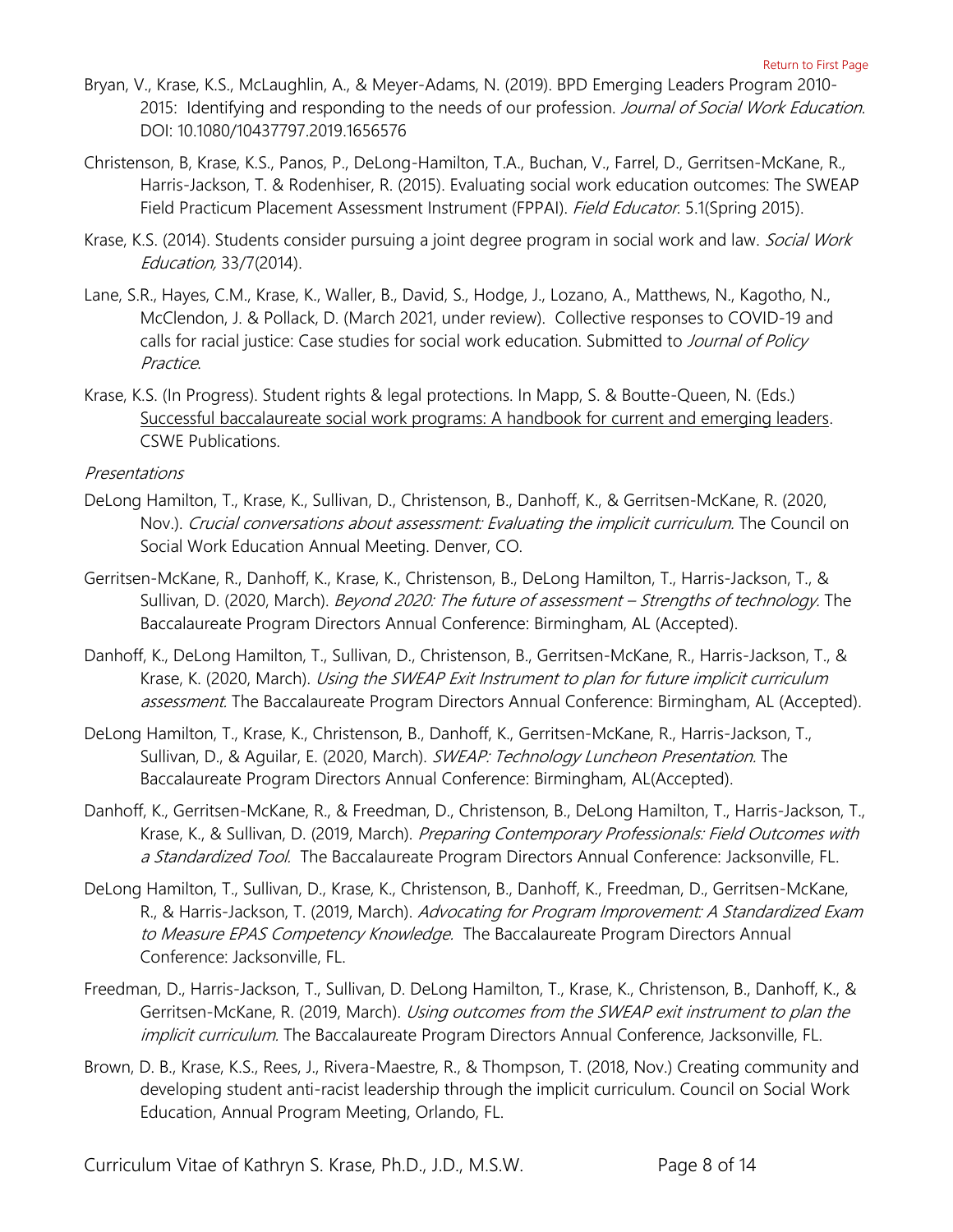- Bryan, V., Krase, K.S., McLaughlin, A., & Meyer-Adams, N. (2019). BPD Emerging Leaders Program 2010- 2015: Identifying and responding to the needs of our profession. Journal of Social Work Education. DOI: [10.1080/10437797.2019.1656576](https://yulib002.mc.yu.edu:3180/10.1080/10437797.2019.1656576)
- Christenson, B, Krase, K.S., Panos, P., DeLong-Hamilton, T.A., Buchan, V., Farrel, D., Gerritsen-McKane, R., Harris-Jackson, T. & Rodenhiser, R. (2015). Evaluating social work education outcomes: The SWEAP Field Practicum Placement Assessment Instrument (FPPAI). Field Educator. 5.1(Spring 2015).
- Krase, K.S. (2014). Students consider pursuing a joint degree program in social work and law. *Social Work* Education, 33/7(2014).
- Lane, S.R., Hayes, C.M., Krase, K., Waller, B., David, S., Hodge, J., Lozano, A., Matthews, N., Kagotho, N., McClendon, J. & Pollack, D. (March 2021, under review). Collective responses to COVID-19 and calls for racial justice: Case studies for social work education. Submitted to Journal of Policy Practice.
- Krase, K.S. (In Progress). Student rights & legal protections. In Mapp, S. & Boutte-Queen, N. (Eds.) Successful baccalaureate social work programs: A handbook for current and emerging leaders. CSWE Publications.

#### <span id="page-7-0"></span>Presentations

- DeLong Hamilton, T., Krase, K., Sullivan, D., Christenson, B., Danhoff, K., & Gerritsen-McKane, R. (2020, Nov.). Crucial conversations about assessment: Evaluating the implicit curriculum. The Council on Social Work Education Annual Meeting. Denver, CO.
- Gerritsen-McKane, R., Danhoff, K., Krase, K., Christenson, B., DeLong Hamilton, T., Harris-Jackson, T., & Sullivan, D. (2020, March). Beyond 2020: The future of assessment - Strengths of technology. The Baccalaureate Program Directors Annual Conference: Birmingham, AL (Accepted).
- Danhoff, K., DeLong Hamilton, T., Sullivan, D., Christenson, B., Gerritsen-McKane, R., Harris-Jackson, T., & Krase, K. (2020, March). *Using the SWEAP Exit Instrument to plan for future implicit curriculum* assessment. The Baccalaureate Program Directors Annual Conference: Birmingham, AL (Accepted).
- DeLong Hamilton, T., Krase, K., Christenson, B., Danhoff, K., Gerritsen-McKane, R., Harris-Jackson, T., Sullivan, D., & Aguilar, E. (2020, March). SWEAP: Technology Luncheon Presentation. The Baccalaureate Program Directors Annual Conference: Birmingham, AL(Accepted).
- Danhoff, K., Gerritsen-McKane, R., & Freedman, D., Christenson, B., DeLong Hamilton, T., Harris-Jackson, T., Krase, K., & Sullivan, D. (2019, March). Preparing Contemporary Professionals: Field Outcomes with a Standardized Tool. The Baccalaureate Program Directors Annual Conference: Jacksonville, FL.
- DeLong Hamilton, T., Sullivan, D., Krase, K., Christenson, B., Danhoff, K., Freedman, D., Gerritsen-McKane, R., & Harris-Jackson, T. (2019, March). Advocating for Program Improvement: A Standardized Exam to Measure EPAS Competency Knowledge. The Baccalaureate Program Directors Annual Conference: Jacksonville, FL.
- Freedman, D., Harris-Jackson, T., Sullivan, D. DeLong Hamilton, T., Krase, K., Christenson, B., Danhoff, K., & Gerritsen-McKane, R. (2019, March). *Using outcomes from the SWEAP exit instrument to plan the* implicit curriculum. The Baccalaureate Program Directors Annual Conference, Jacksonville, FL.
- Brown, D. B., Krase, K.S., Rees, J., Rivera-Maestre, R., & Thompson, T. (2018, Nov.) Creating community and developing student anti-racist leadership through the implicit curriculum. Council on Social Work Education, Annual Program Meeting, Orlando, FL.

Curriculum Vitae of Kathryn S. Krase, Ph.D., J.D., M.S.W. Page 8 of 14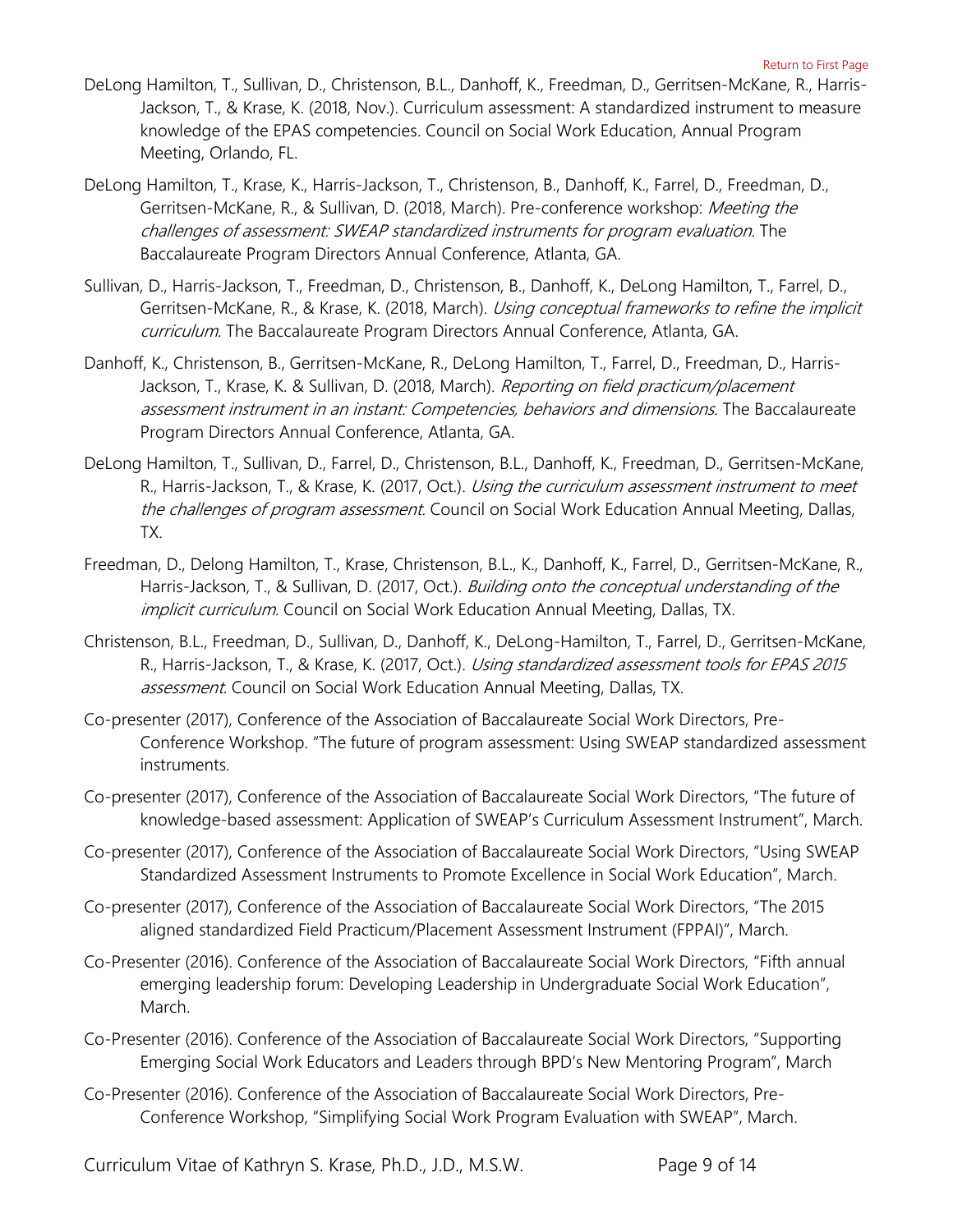- DeLong Hamilton, T., Sullivan, D., Christenson, B.L., Danhoff, K., Freedman, D., Gerritsen-McKane, R., Harris-Jackson, T., & Krase, K. (2018, Nov.). Curriculum assessment: A standardized instrument to measure knowledge of the EPAS competencies. Council on Social Work Education, Annual Program Meeting, Orlando, FL.
- DeLong Hamilton, T., Krase, K., Harris-Jackson, T., Christenson, B., Danhoff, K., Farrel, D., Freedman, D., Gerritsen-McKane, R., & Sullivan, D. (2018, March). Pre-conference workshop: Meeting the challenges of assessment: SWEAP standardized instruments for program evaluation. The Baccalaureate Program Directors Annual Conference, Atlanta, GA.
- Sullivan, D., Harris-Jackson, T., Freedman, D., Christenson, B., Danhoff, K., DeLong Hamilton, T., Farrel, D., Gerritsen-McKane, R., & Krase, K. (2018, March). Using conceptual frameworks to refine the implicit curriculum. The Baccalaureate Program Directors Annual Conference, Atlanta, GA.
- Danhoff, K., Christenson, B., Gerritsen-McKane, R., DeLong Hamilton, T., Farrel, D., Freedman, D., Harris-Jackson, T., Krase, K. & Sullivan, D. (2018, March). Reporting on field practicum/placement assessment instrument in an instant: Competencies, behaviors and dimensions. The Baccalaureate Program Directors Annual Conference, Atlanta, GA.
- DeLong Hamilton, T., Sullivan, D., Farrel, D., Christenson, B.L., Danhoff, K., Freedman, D., Gerritsen-McKane, R., Harris-Jackson, T., & Krase, K. (2017, Oct.). Using the curriculum assessment instrument to meet the challenges of program assessment. Council on Social Work Education Annual Meeting, Dallas, TX.
- Freedman, D., Delong Hamilton, T., Krase, Christenson, B.L., K., Danhoff, K., Farrel, D., Gerritsen-McKane, R., Harris-Jackson, T., & Sullivan, D. (2017, Oct.). Building onto the conceptual understanding of the implicit curriculum. Council on Social Work Education Annual Meeting, Dallas, TX.
- Christenson, B.L., Freedman, D., Sullivan, D., Danhoff, K., DeLong-Hamilton, T., Farrel, D., Gerritsen-McKane, R., Harris-Jackson, T., & Krase, K. (2017, Oct.). Using standardized assessment tools for EPAS 2015 assessment. Council on Social Work Education Annual Meeting, Dallas, TX.
- Co-presenter (2017), Conference of the Association of Baccalaureate Social Work Directors, Pre-Conference Workshop. "The future of program assessment: Using SWEAP standardized assessment instruments.
- Co-presenter (2017), Conference of the Association of Baccalaureate Social Work Directors, "The future of knowledge-based assessment: Application of SWEAP's Curriculum Assessment Instrument", March.
- Co-presenter (2017), Conference of the Association of Baccalaureate Social Work Directors, "Using SWEAP Standardized Assessment Instruments to Promote Excellence in Social Work Education", March.
- Co-presenter (2017), Conference of the Association of Baccalaureate Social Work Directors, "The 2015 aligned standardized Field Practicum/Placement Assessment Instrument (FPPAI)", March.
- Co-Presenter (2016). Conference of the Association of Baccalaureate Social Work Directors, "Fifth annual emerging leadership forum: Developing Leadership in Undergraduate Social Work Education", March.
- Co-Presenter (2016). Conference of the Association of Baccalaureate Social Work Directors, "Supporting Emerging Social Work Educators and Leaders through BPD's New Mentoring Program", March
- Co-Presenter (2016). Conference of the Association of Baccalaureate Social Work Directors, Pre-Conference Workshop, "Simplifying Social Work Program Evaluation with SWEAP", March.

Curriculum Vitae of Kathryn S. Krase, Ph.D., J.D., M.S.W. Page 9 of 14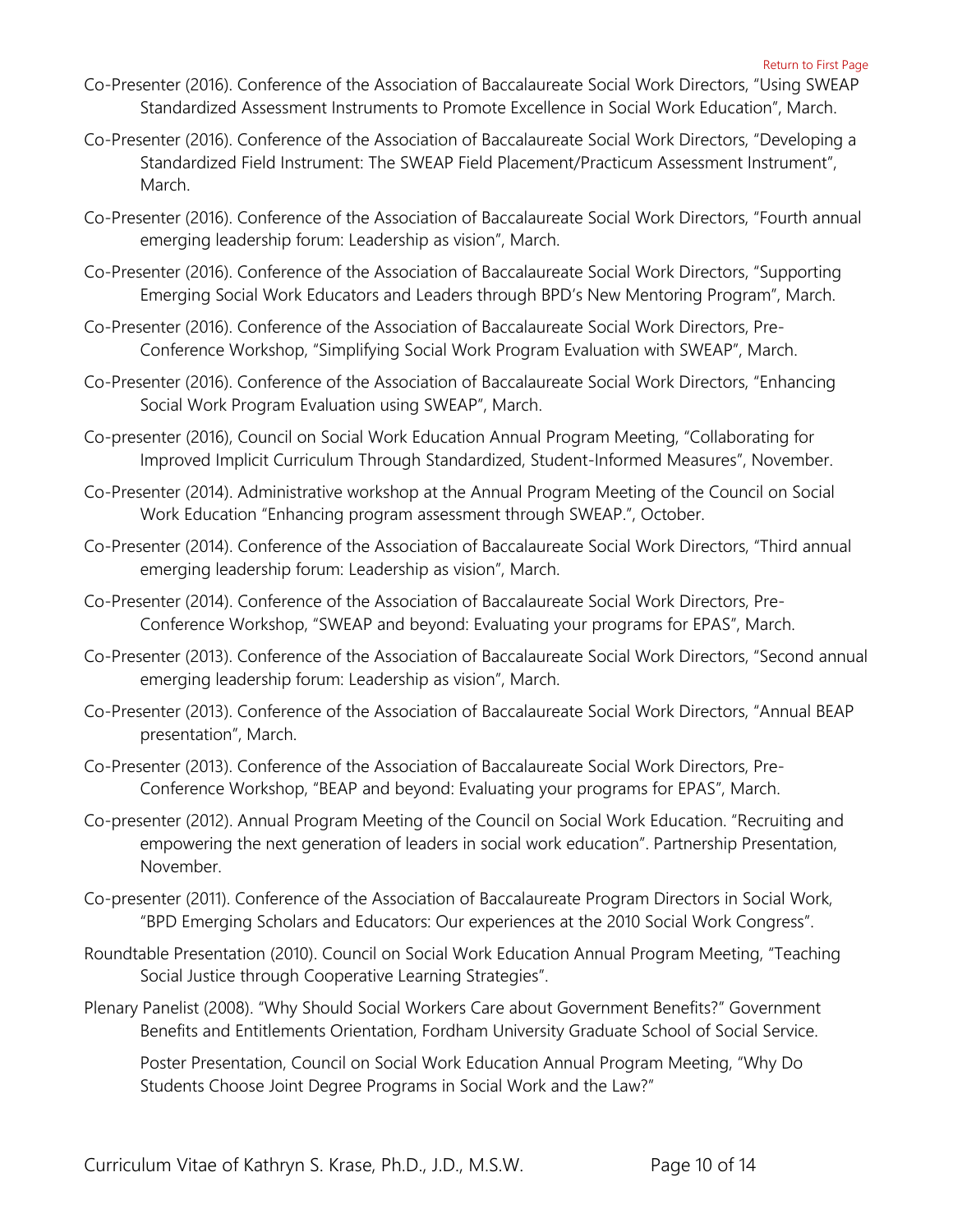- Co-Presenter (2016). Conference of the Association of Baccalaureate Social Work Directors, "Using SWEAP Standardized Assessment Instruments to Promote Excellence in Social Work Education", March.
- Co-Presenter (2016). Conference of the Association of Baccalaureate Social Work Directors, "Developing a Standardized Field Instrument: The SWEAP Field Placement/Practicum Assessment Instrument", March.
- Co-Presenter (2016). Conference of the Association of Baccalaureate Social Work Directors, "Fourth annual emerging leadership forum: Leadership as vision", March.
- Co-Presenter (2016). Conference of the Association of Baccalaureate Social Work Directors, "Supporting Emerging Social Work Educators and Leaders through BPD's New Mentoring Program", March.
- Co-Presenter (2016). Conference of the Association of Baccalaureate Social Work Directors, Pre-Conference Workshop, "Simplifying Social Work Program Evaluation with SWEAP", March.
- Co-Presenter (2016). Conference of the Association of Baccalaureate Social Work Directors, "Enhancing Social Work Program Evaluation using SWEAP", March.
- Co-presenter (2016), Council on Social Work Education Annual Program Meeting, "Collaborating for Improved Implicit Curriculum Through Standardized, Student-Informed Measures", November.
- Co-Presenter (2014). Administrative workshop at the Annual Program Meeting of the Council on Social Work Education "Enhancing program assessment through SWEAP.", October.
- Co-Presenter (2014). Conference of the Association of Baccalaureate Social Work Directors, "Third annual emerging leadership forum: Leadership as vision", March.
- Co-Presenter (2014). Conference of the Association of Baccalaureate Social Work Directors, Pre-Conference Workshop, "SWEAP and beyond: Evaluating your programs for EPAS", March.
- Co-Presenter (2013). Conference of the Association of Baccalaureate Social Work Directors, "Second annual emerging leadership forum: Leadership as vision", March.
- Co-Presenter (2013). Conference of the Association of Baccalaureate Social Work Directors, "Annual BEAP presentation", March.
- Co-Presenter (2013). Conference of the Association of Baccalaureate Social Work Directors, Pre-Conference Workshop, "BEAP and beyond: Evaluating your programs for EPAS", March.
- Co-presenter (2012). Annual Program Meeting of the Council on Social Work Education. "Recruiting and empowering the next generation of leaders in social work education". Partnership Presentation, November.
- Co-presenter (2011). Conference of the Association of Baccalaureate Program Directors in Social Work, "BPD Emerging Scholars and Educators: Our experiences at the 2010 Social Work Congress".
- Roundtable Presentation (2010). Council on Social Work Education Annual Program Meeting, "Teaching Social Justice through Cooperative Learning Strategies".
- Plenary Panelist (2008). "Why Should Social Workers Care about Government Benefits?" Government Benefits and Entitlements Orientation, Fordham University Graduate School of Social Service.

Poster Presentation, Council on Social Work Education Annual Program Meeting, "Why Do Students Choose Joint Degree Programs in Social Work and the Law?"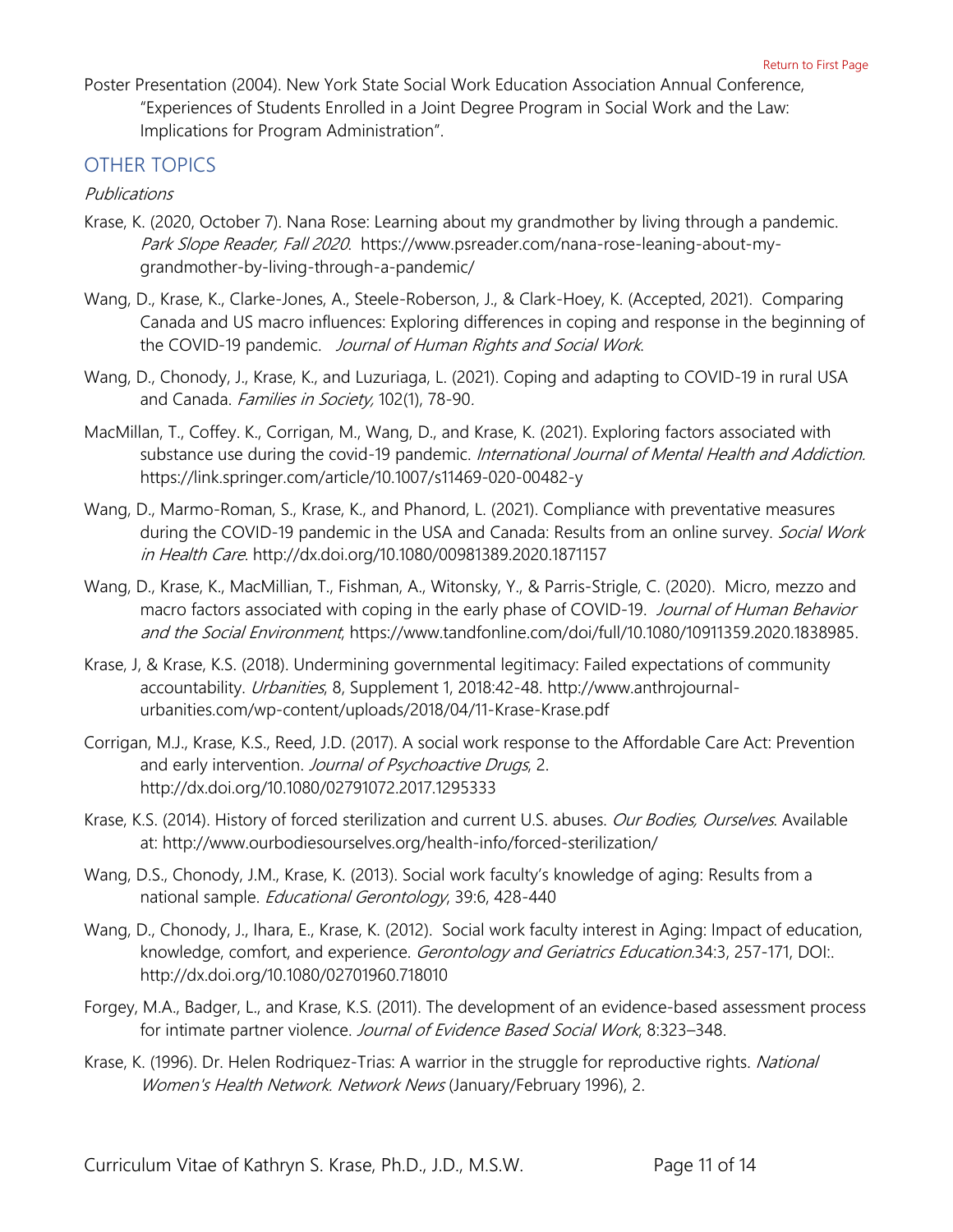Poster Presentation (2004). New York State Social Work Education Association Annual Conference, "Experiences of Students Enrolled in a Joint Degree Program in Social Work and the Law: Implications for Program Administration".

## <span id="page-10-0"></span>OTHER TOPICS

### <span id="page-10-1"></span>Publications

- Krase, K. (2020, October 7). Nana Rose: Learning about my grandmother by living through a pandemic. Park Slope Reader, Fall 2020. [https://www.psreader.com/nana-rose-leaning-about-my](https://www.psreader.com/nana-rose-leaning-about-my-grandmother-by-living-through-a-pandemic/)[grandmother-by-living-through-a-pandemic/](https://www.psreader.com/nana-rose-leaning-about-my-grandmother-by-living-through-a-pandemic/)
- Wang, D., Krase, K., Clarke-Jones, A., Steele-Roberson, J., & Clark-Hoey, K. (Accepted, 2021). Comparing Canada and US macro influences: Exploring differences in coping and response in the beginning of the COVID-19 pandemic. Journal of Human Rights and Social Work.
- Wang, D., Chonody, J., Krase, K., and Luzuriaga, L. (2021). Coping and adapting to COVID-19 in rural USA and Canada. Families in Society, 102(1), 78-90.
- MacMillan, T., Coffey. K., Corrigan, M., Wang, D., and Krase, K. (2021). Exploring factors associated with substance use during the covid-19 pandemic. International Journal of Mental Health and Addiction. <https://link.springer.com/article/10.1007/s11469-020-00482-y>
- Wang, D., Marmo-Roman, S., Krase, K., and Phanord, L. (2021). Compliance with preventative measures during the COVID-19 pandemic in the USA and Canada: Results from an online survey. Social Work in Health Care. <http://dx.doi.org/10.1080/00981389.2020.1871157>
- Wang, D., Krase, K., MacMillian, T., Fishman, A., Witonsky, Y., & Parris-Strigle, C. (2020). Micro, mezzo and macro factors associated with coping in the early phase of COVID-19. Journal of Human Behavior and the Social Environment, [https://www.tandfonline.com/doi/full/10.1080/10911359.2020.1838985.](https://www.tandfonline.com/doi/full/10.1080/10911359.2020.1838985)
- Krase, J, & Krase, K.S. (2018). Undermining governmental legitimacy: Failed expectations of community accountability. Urbanities, 8, Supplement 1, 2018:42-48. [http://www.anthrojournal](http://www.anthrojournal-urbanities.com/wp-content/uploads/2018/04/11-Krase-Krase.pdf)[urbanities.com/wp-content/uploads/2018/04/11-Krase-Krase.pdf](http://www.anthrojournal-urbanities.com/wp-content/uploads/2018/04/11-Krase-Krase.pdf)
- Corrigan, M.J., Krase, K.S., Reed, J.D. (2017). A social work response to the Affordable Care Act: Prevention and early intervention. Journal of Psychoactive Drugs, 2. <http://dx.doi.org/10.1080/02791072.2017.1295333>
- Krase, K.S. (2014). History of forced sterilization and current U.S. abuses. *Our Bodies, Ourselves*. Available at:<http://www.ourbodiesourselves.org/health-info/forced-sterilization/>
- Wang, D.S., Chonody, J.M., Krase, K. (2013). Social work faculty's knowledge of aging: Results from a national sample. Educational Gerontology, 39:6, 428-440
- Wang, D., Chonody, J., Ihara, E., Krase, K. (2012). Social work faculty interest in Aging: Impact of education, knowledge, comfort, and experience. Gerontology and Geriatrics Education.34:3, 257-171, DOI:. <http://dx.doi.org/10.1080/02701960.718010>
- Forgey, M.A., Badger, L., and Krase, K.S. (2011). The development of an evidence-based assessment process for intimate partner violence. Journal of Evidence Based Social Work, 8:323-348.
- Krase, K. (1996). Dr. Helen Rodriguez-Trias: A warrior in the struggle for reproductive rights. National Women's Health Network. Network News (January/February 1996), 2.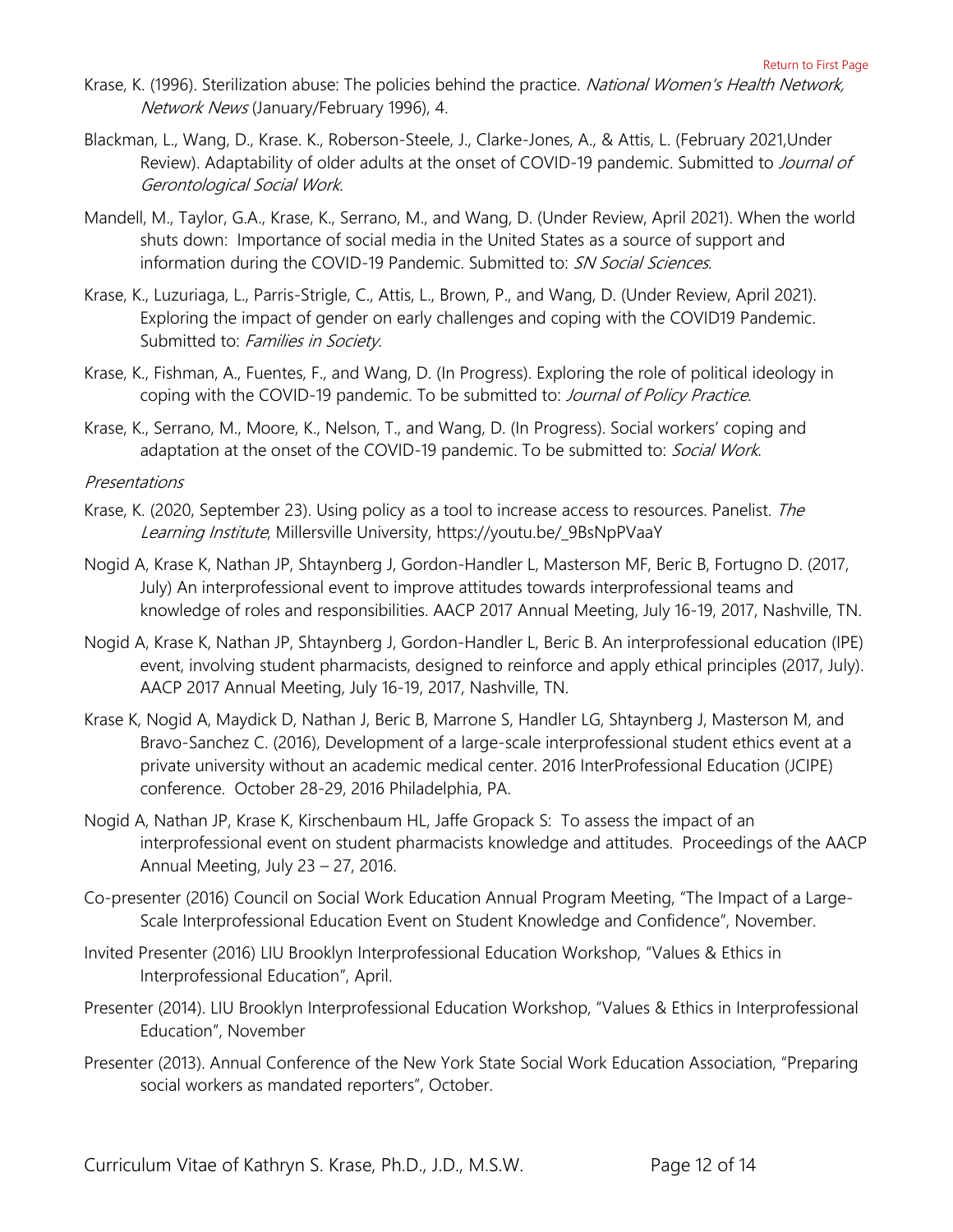- Krase, K. (1996). Sterilization abuse: The policies behind the practice. National Women's Health Network, Network News (January/February 1996), 4.
- Blackman, L., Wang, D., Krase. K., Roberson-Steele, J., Clarke-Jones, A., & Attis, L. (February 2021,Under Review). Adaptability of older adults at the onset of COVID-19 pandemic. Submitted to Journal of Gerontological Social Work.
- Mandell, M., Taylor, G.A., Krase, K., Serrano, M., and Wang, D. (Under Review, April 2021). When the world shuts down: Importance of social media in the United States as a source of support and information during the COVID-19 Pandemic. Submitted to: SN Social Sciences.
- Krase, K., Luzuriaga, L., Parris-Strigle, C., Attis, L., Brown, P., and Wang, D. (Under Review, April 2021). Exploring the impact of gender on early challenges and coping with the COVID19 Pandemic. Submitted to: Families in Society.
- Krase, K., Fishman, A., Fuentes, F., and Wang, D. (In Progress). Exploring the role of political ideology in coping with the COVID-19 pandemic. To be submitted to: Journal of Policy Practice.
- Krase, K., Serrano, M., Moore, K., Nelson, T., and Wang, D. (In Progress). Social workers' coping and adaptation at the onset of the COVID-19 pandemic. To be submitted to: Social Work.

#### <span id="page-11-0"></span>Presentations

- Krase, K. (2020, September 23). Using policy as a tool to increase access to resources. Panelist. The Learning Institute, Millersville University, [https://youtu.be/\\_9BsNpPVaaY](https://youtu.be/_9BsNpPVaaY)
- Nogid A, Krase K, Nathan JP, Shtaynberg J, Gordon-Handler L, Masterson MF, Beric B, Fortugno D. (2017, July) An interprofessional event to improve attitudes towards interprofessional teams and knowledge of roles and responsibilities. AACP 2017 Annual Meeting, July 16-19, 2017, Nashville, TN.
- Nogid A, Krase K, Nathan JP, Shtaynberg J, Gordon-Handler L, Beric B. An interprofessional education (IPE) event, involving student pharmacists, designed to reinforce and apply ethical principles (2017, July). AACP 2017 Annual Meeting, July 16-19, 2017, Nashville, TN.
- Krase K, Nogid A, Maydick D, Nathan J, Beric B, Marrone S, Handler LG, Shtaynberg J, Masterson M, and Bravo-Sanchez C. (2016), Development of a large-scale interprofessional student ethics event at a private university without an academic medical center. 2016 InterProfessional Education (JCIPE) conference. October 28-29, 2016 Philadelphia, PA.
- Nogid A, Nathan JP, Krase K, Kirschenbaum HL, Jaffe Gropack S: To assess the impact of an interprofessional event on student pharmacists knowledge and attitudes. Proceedings of the AACP Annual Meeting, July 23 – 27, 2016.
- Co-presenter (2016) Council on Social Work Education Annual Program Meeting, "The Impact of a Large-Scale Interprofessional Education Event on Student Knowledge and Confidence", November.
- Invited Presenter (2016) LIU Brooklyn Interprofessional Education Workshop, "Values & Ethics in Interprofessional Education", April.
- Presenter (2014). LIU Brooklyn Interprofessional Education Workshop, "Values & Ethics in Interprofessional Education", November
- Presenter (2013). Annual Conference of the New York State Social Work Education Association, "Preparing social workers as mandated reporters", October.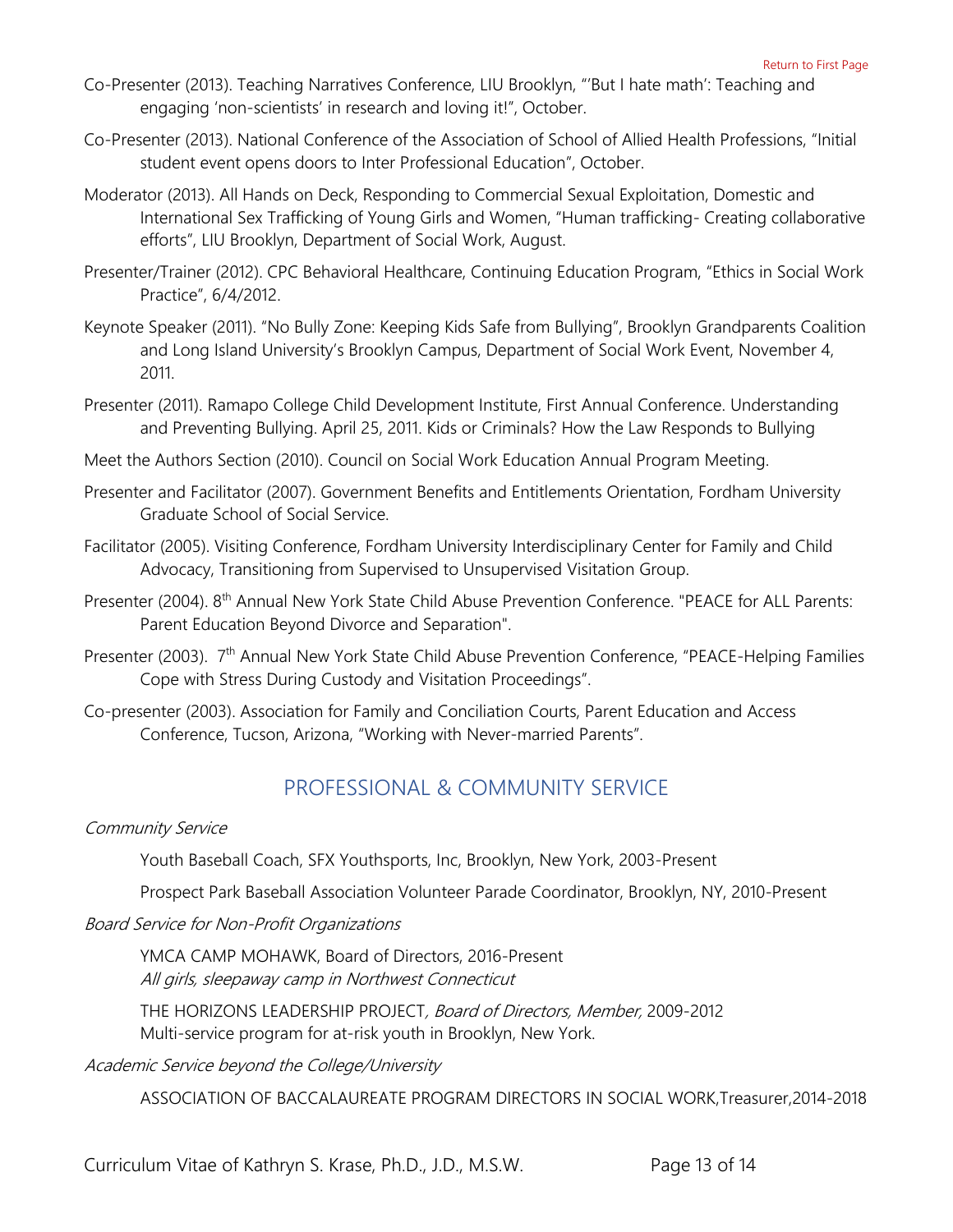- Co-Presenter (2013). Teaching Narratives Conference, LIU Brooklyn, "'But I hate math': Teaching and engaging 'non-scientists' in research and loving it!", October.
- Co-Presenter (2013). National Conference of the Association of School of Allied Health Professions, "Initial student event opens doors to Inter Professional Education", October.
- Moderator (2013). All Hands on Deck, Responding to Commercial Sexual Exploitation, Domestic and International Sex Trafficking of Young Girls and Women, "Human trafficking- Creating collaborative efforts", LIU Brooklyn, Department of Social Work, August.
- Presenter/Trainer (2012). CPC Behavioral Healthcare, Continuing Education Program, "Ethics in Social Work Practice", 6/4/2012.
- Keynote Speaker (2011). "No Bully Zone: Keeping Kids Safe from Bullying", Brooklyn Grandparents Coalition and Long Island University's Brooklyn Campus, Department of Social Work Event, November 4, 2011.
- Presenter (2011). Ramapo College Child Development Institute, First Annual Conference. Understanding and Preventing Bullying. April 25, 2011. Kids or Criminals? How the Law Responds to Bullying
- Meet the Authors Section (2010). Council on Social Work Education Annual Program Meeting.
- Presenter and Facilitator (2007). Government Benefits and Entitlements Orientation, Fordham University Graduate School of Social Service.
- Facilitator (2005). Visiting Conference, Fordham University Interdisciplinary Center for Family and Child Advocacy, Transitioning from Supervised to Unsupervised Visitation Group.
- Presenter (2004). 8<sup>th</sup> Annual New York State Child Abuse Prevention Conference. "PEACE for ALL Parents: Parent Education Beyond Divorce and Separation".
- Presenter (2003). 7<sup>th</sup> Annual New York State Child Abuse Prevention Conference, "PEACE-Helping Families Cope with Stress During Custody and Visitation Proceedings".
- <span id="page-12-0"></span>Co-presenter (2003). Association for Family and Conciliation Courts, Parent Education and Access Conference, Tucson, Arizona, "Working with Never-married Parents".

## PROFESSIONAL & COMMUNITY SERVICE

#### Community Service

Youth Baseball Coach, SFX Youthsports, Inc, Brooklyn, New York, 2003-Present

Prospect Park Baseball Association Volunteer Parade Coordinator, Brooklyn, NY, 2010-Present

Board Service for Non-Profit Organizations

YMCA CAMP MOHAWK, Board of Directors, 2016-Present All girls, sleepaway camp in Northwest Connecticut

THE HORIZONS LEADERSHIP PROJECT, Board of Directors, Member, 2009-2012 Multi-service program for at-risk youth in Brooklyn, New York.

Academic Service beyond the College/University

ASSOCIATION OF BACCALAUREATE PROGRAM DIRECTORS IN SOCIAL WORK,Treasurer,2014-2018

Curriculum Vitae of Kathryn S. Krase, Ph.D., J.D., M.S.W. Page 13 of 14